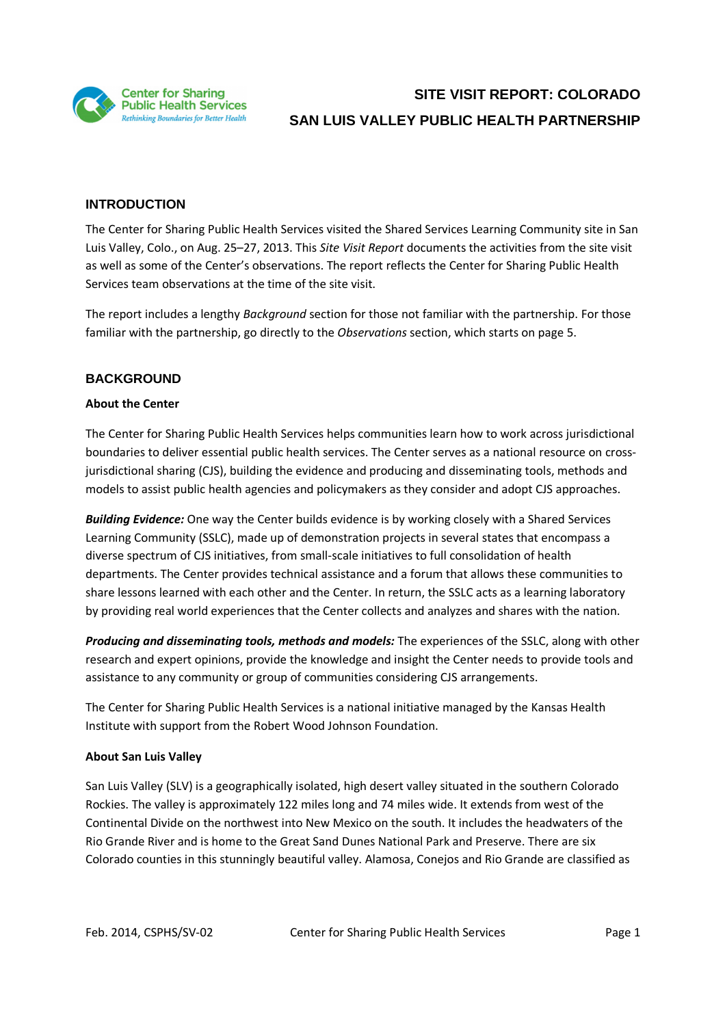

### **INTRODUCTION**

The Center for Sharing Public Health Services visited the Shared Services Learning Community site in San Luis Valley, Colo., on Aug. 25–27, 2013. This *Site Visit Report* documents the activities from the site visit as well as some of the Center's observations. The report reflects the Center for Sharing Public Health Services team observations at the time of the site visit.

The report includes a lengthy *Background* section for those not familiar with the partnership. For those familiar with the partnership, go directly to the *Observations* section, which starts on page 5.

### **BACKGROUND**

#### **About the Center**

The Center for Sharing Public Health Services helps communities learn how to work across jurisdictional boundaries to deliver essential public health services. The Center serves as a national resource on crossjurisdictional sharing (CJS), building the evidence and producing and disseminating tools, methods and models to assist public health agencies and policymakers as they consider and adopt CJS approaches.

*Building Evidence:* One way the Center builds evidence is by working closely with a Shared Services Learning Community (SSLC), made up of demonstration projects in several states that encompass a diverse spectrum of CJS initiatives, from small-scale initiatives to full consolidation of health departments. The Center provides technical assistance and a forum that allows these communities to share lessons learned with each other and the Center. In return, the SSLC acts as a learning laboratory by providing real world experiences that the Center collects and analyzes and shares with the nation.

*Producing and disseminating tools, methods and models:* The experiences of the SSLC, along with other research and expert opinions, provide the knowledge and insight the Center needs to provide tools and assistance to any community or group of communities considering CJS arrangements.

The Center for Sharing Public Health Services is a national initiative managed by the Kansas Health Institute with support from the Robert Wood Johnson Foundation.

#### **About San Luis Valley**

San Luis Valley (SLV) is a geographically isolated, high desert valley situated in the southern Colorado Rockies. The valley is approximately 122 miles long and 74 miles wide. It extends from west of the Continental Divide on the northwest into New Mexico on the south. It includes the headwaters of the Rio Grande River and is home to the Great Sand Dunes National Park and Preserve. There are six Colorado counties in this stunningly beautiful valley. Alamosa, Conejos and Rio Grande are classified as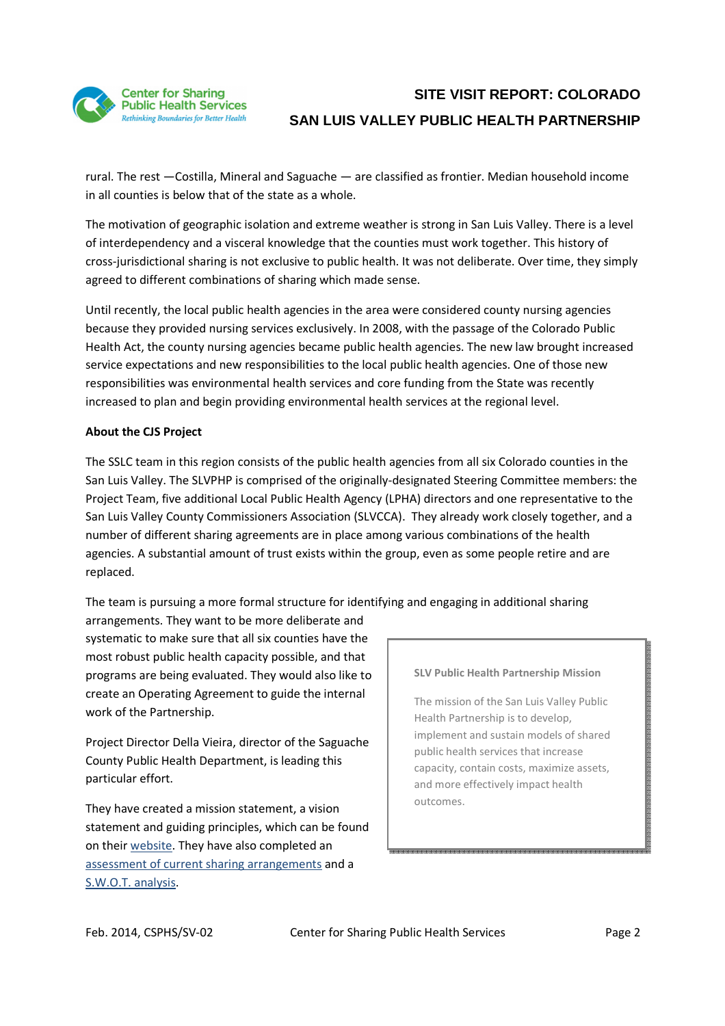

rural. The rest —Costilla, Mineral and Saguache — are classified as frontier. Median household income in all counties is below that of the state as a whole.

The motivation of geographic isolation and extreme weather is strong in San Luis Valley. There is a level of interdependency and a visceral knowledge that the counties must work together. This history of cross-jurisdictional sharing is not exclusive to public health. It was not deliberate. Over time, they simply agreed to different combinations of sharing which made sense.

Until recently, the local public health agencies in the area were considered county nursing agencies because they provided nursing services exclusively. In 2008, with the passage of the Colorado Public Health Act, the county nursing agencies became public health agencies. The new law brought increased service expectations and new responsibilities to the local public health agencies. One of those new responsibilities was environmental health services and core funding from the State was recently increased to plan and begin providing environmental health services at the regional level.

#### **About the CJS Project**

The SSLC team in this region consists of the public health agencies from all six Colorado counties in the San Luis Valley. The SLVPHP is comprised of the originally-designated Steering Committee members: the Project Team, five additional Local Public Health Agency (LPHA) directors and one representative to the San Luis Valley County Commissioners Association (SLVCCA). They already work closely together, and a number of different sharing agreements are in place among various combinations of the health agencies. A substantial amount of trust exists within the group, even as some people retire and are replaced.

The team is pursuing a more formal structure for identifying and engaging in additional sharing

arrangements. They want to be more deliberate and systematic to make sure that all six counties have the most robust public health capacity possible, and that programs are being evaluated. They would also like to create an Operating Agreement to guide the internal work of the Partnership.

Project Director Della Vieira, director of the Saguache County Public Health Department, is leading this particular effort.

They have created a mission statement, a vision statement and guiding principles, which can be found on their website. They have also completed an assessment of current sharing arrangements and a S.W.O.T. analysis.

#### **SLV Public Health Partnership Mission**

The mission of the San Luis Valley Public Health Partnership is to develop, implement and sustain models of shared public health services that increase capacity, contain costs, maximize assets, and more effectively impact health outcomes.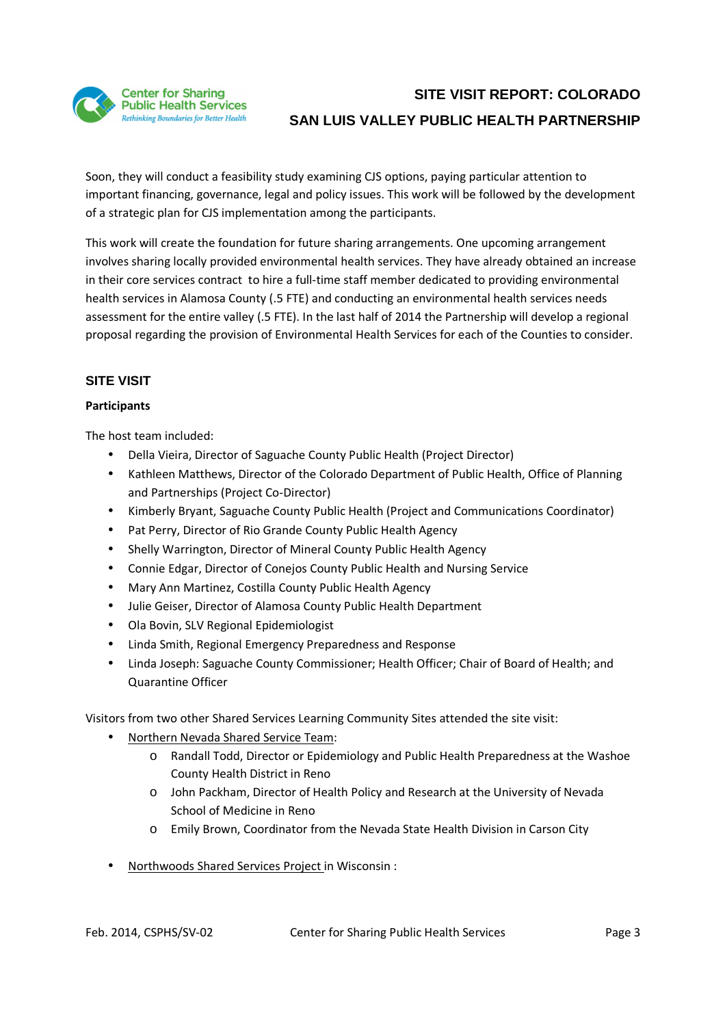

Soon, they will conduct a feasibility study examining CJS options, paying particular attention to important financing, governance, legal and policy issues. This work will be followed by the development of a strategic plan for CJS implementation among the participants.

This work will create the foundation for future sharing arrangements. One upcoming arrangement involves sharing locally provided environmental health services. They have already obtained an increase in their core services contract to hire a full-time staff member dedicated to providing environmental health services in Alamosa County (.5 FTE) and conducting an environmental health services needs assessment for the entire valley (.5 FTE). In the last half of 2014 the Partnership will develop a regional proposal regarding the provision of Environmental Health Services for each of the Counties to consider.

### **SITE VISIT**

### **Participants**

The host team included:

- Della Vieira, Director of Saguache County Public Health (Project Director)
- Kathleen Matthews, Director of the Colorado Department of Public Health, Office of Planning and Partnerships (Project Co-Director)
- Kimberly Bryant, Saguache County Public Health (Project and Communications Coordinator)
- Pat Perry, Director of Rio Grande County Public Health Agency
- Shelly Warrington, Director of Mineral County Public Health Agency
- Connie Edgar, Director of Conejos County Public Health and Nursing Service
- Mary Ann Martinez, Costilla County Public Health Agency
- Julie Geiser, Director of Alamosa County Public Health Department
- Ola Bovin, SLV Regional Epidemiologist
- Linda Smith, Regional Emergency Preparedness and Response
- Linda Joseph: Saguache County Commissioner; Health Officer; Chair of Board of Health; and Quarantine Officer

Visitors from two other Shared Services Learning Community Sites attended the site visit:

- Northern Nevada Shared Service Team:
	- o Randall Todd, Director or Epidemiology and Public Health Preparedness at the Washoe County Health District in Reno
	- o John Packham, Director of Health Policy and Research at the University of Nevada School of Medicine in Reno
	- o Emily Brown, Coordinator from the Nevada State Health Division in Carson City
- Northwoods Shared Services Project in Wisconsin :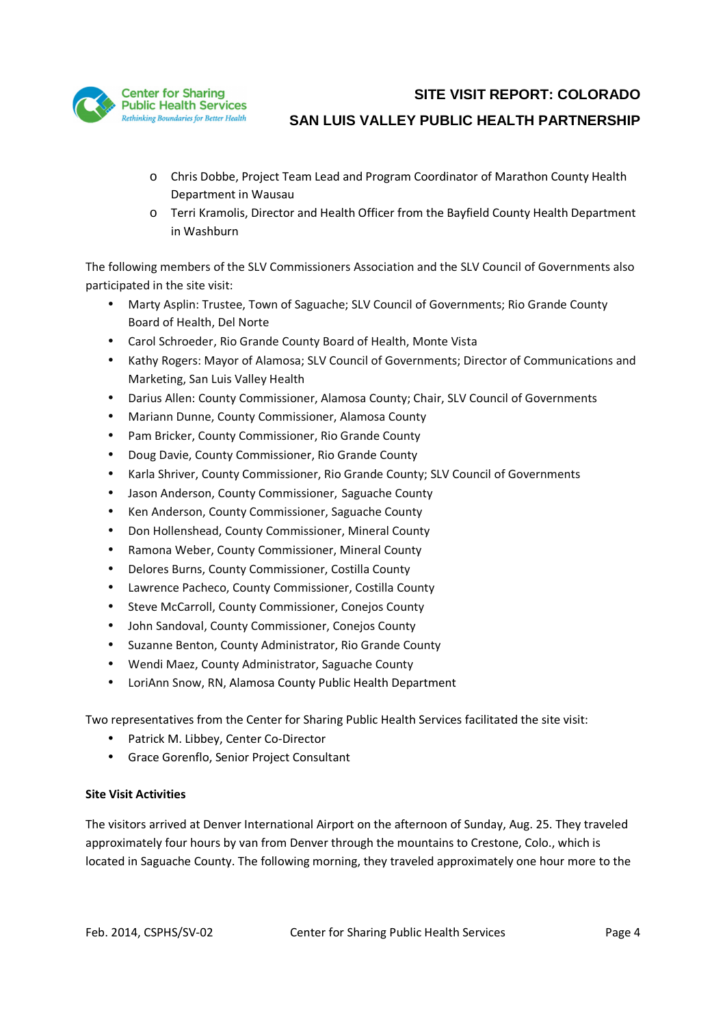

- o Chris Dobbe, Project Team Lead and Program Coordinator of Marathon County Health Department in Wausau
- o Terri Kramolis, Director and Health Officer from the Bayfield County Health Department in Washburn

The following members of the SLV Commissioners Association and the SLV Council of Governments also participated in the site visit:

- Marty Asplin: Trustee, Town of Saguache; SLV Council of Governments; Rio Grande County Board of Health, Del Norte
- Carol Schroeder, Rio Grande County Board of Health, Monte Vista
- Kathy Rogers: Mayor of Alamosa; SLV Council of Governments; Director of Communications and Marketing, San Luis Valley Health
- Darius Allen: County Commissioner, Alamosa County; Chair, SLV Council of Governments
- Mariann Dunne, County Commissioner, Alamosa County
- Pam Bricker, County Commissioner, Rio Grande County
- Doug Davie, County Commissioner, Rio Grande County
- Karla Shriver, County Commissioner, Rio Grande County; SLV Council of Governments
- Jason Anderson, County Commissioner, Saguache County
- Ken Anderson, County Commissioner, Saguache County
- Don Hollenshead, County Commissioner, Mineral County
- Ramona Weber, County Commissioner, Mineral County
- Delores Burns, County Commissioner, Costilla County
- Lawrence Pacheco, County Commissioner, Costilla County
- Steve McCarroll, County Commissioner, Conejos County
- John Sandoval, County Commissioner, Conejos County
- Suzanne Benton, County Administrator, Rio Grande County
- Wendi Maez, County Administrator, Saguache County
- LoriAnn Snow, RN, Alamosa County Public Health Department

Two representatives from the Center for Sharing Public Health Services facilitated the site visit:

- Patrick M. Libbey, Center Co-Director
- Grace Gorenflo, Senior Project Consultant

### **Site Visit Activities**

The visitors arrived at Denver International Airport on the afternoon of Sunday, Aug. 25. They traveled approximately four hours by van from Denver through the mountains to Crestone, Colo., which is located in Saguache County. The following morning, they traveled approximately one hour more to the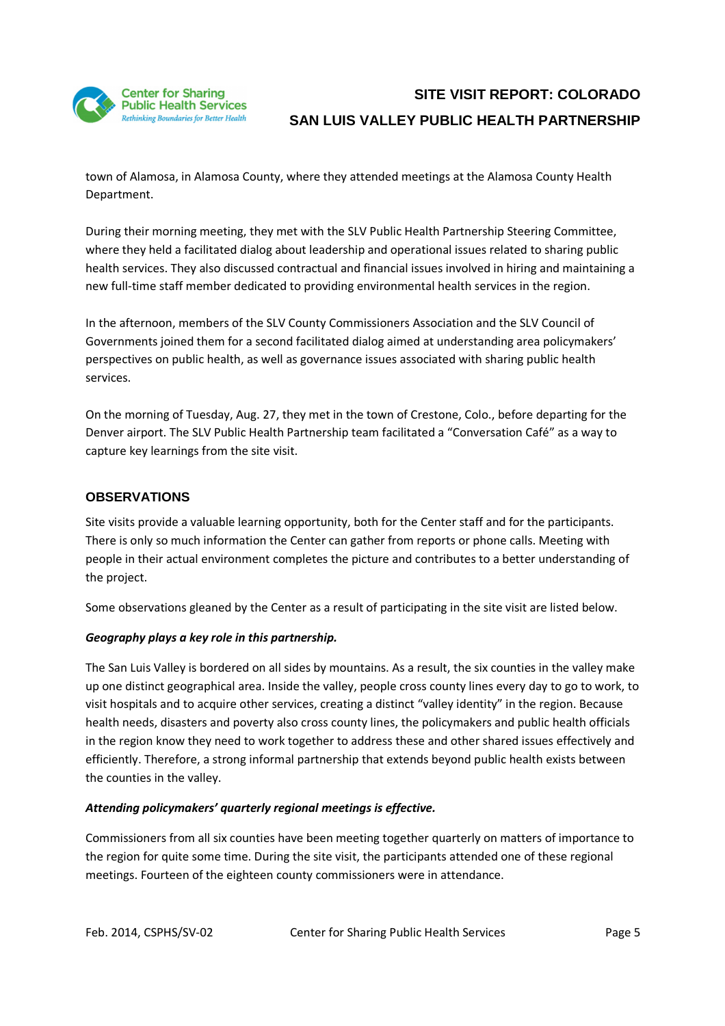

town of Alamosa, in Alamosa County, where they attended meetings at the Alamosa County Health Department.

During their morning meeting, they met with the SLV Public Health Partnership Steering Committee, where they held a facilitated dialog about leadership and operational issues related to sharing public health services. They also discussed contractual and financial issues involved in hiring and maintaining a new full-time staff member dedicated to providing environmental health services in the region.

In the afternoon, members of the SLV County Commissioners Association and the SLV Council of Governments joined them for a second facilitated dialog aimed at understanding area policymakers' perspectives on public health, as well as governance issues associated with sharing public health services.

On the morning of Tuesday, Aug. 27, they met in the town of Crestone, Colo., before departing for the Denver airport. The SLV Public Health Partnership team facilitated a "Conversation Café" as a way to capture key learnings from the site visit.

### **OBSERVATIONS**

Site visits provide a valuable learning opportunity, both for the Center staff and for the participants. There is only so much information the Center can gather from reports or phone calls. Meeting with people in their actual environment completes the picture and contributes to a better understanding of the project.

Some observations gleaned by the Center as a result of participating in the site visit are listed below.

#### *Geography plays a key role in this partnership.*

The San Luis Valley is bordered on all sides by mountains. As a result, the six counties in the valley make up one distinct geographical area. Inside the valley, people cross county lines every day to go to work, to visit hospitals and to acquire other services, creating a distinct "valley identity" in the region. Because health needs, disasters and poverty also cross county lines, the policymakers and public health officials in the region know they need to work together to address these and other shared issues effectively and efficiently. Therefore, a strong informal partnership that extends beyond public health exists between the counties in the valley.

#### *Attending policymakers' quarterly regional meetings is effective.*

Commissioners from all six counties have been meeting together quarterly on matters of importance to the region for quite some time. During the site visit, the participants attended one of these regional meetings. Fourteen of the eighteen county commissioners were in attendance.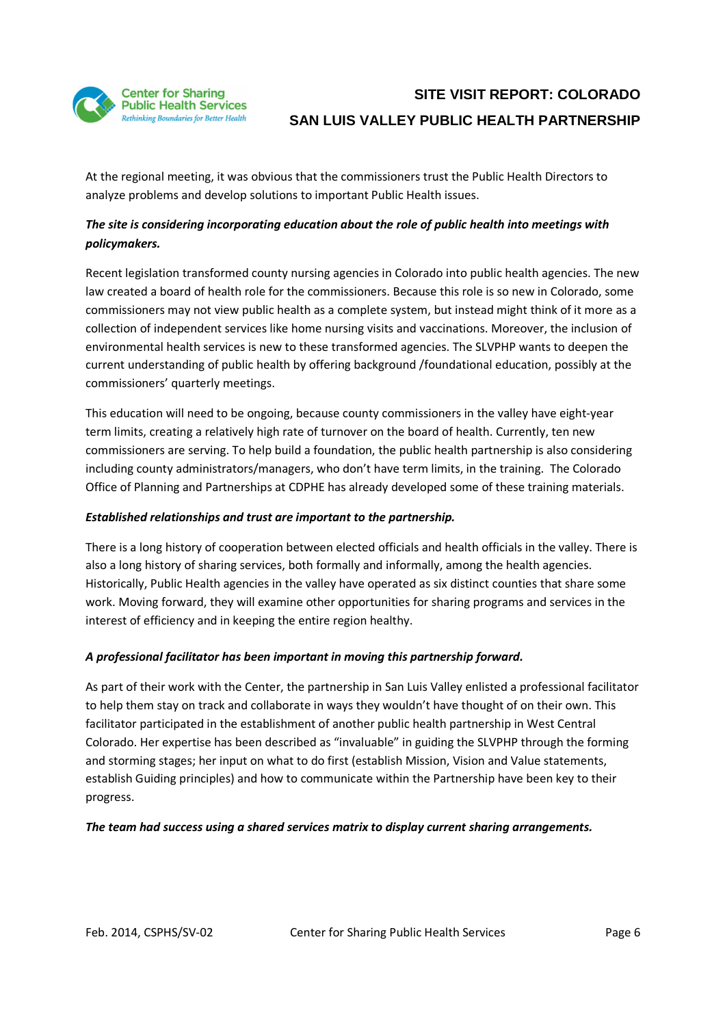

At the regional meeting, it was obvious that the commissioners trust the Public Health Directors to analyze problems and develop solutions to important Public Health issues.

### *The site is considering incorporating education about the role of public health into meetings with policymakers.*

Recent legislation transformed county nursing agencies in Colorado into public health agencies. The new law created a board of health role for the commissioners. Because this role is so new in Colorado, some commissioners may not view public health as a complete system, but instead might think of it more as a collection of independent services like home nursing visits and vaccinations. Moreover, the inclusion of environmental health services is new to these transformed agencies. The SLVPHP wants to deepen the current understanding of public health by offering background /foundational education, possibly at the commissioners' quarterly meetings.

This education will need to be ongoing, because county commissioners in the valley have eight-year term limits, creating a relatively high rate of turnover on the board of health. Currently, ten new commissioners are serving. To help build a foundation, the public health partnership is also considering including county administrators/managers, who don't have term limits, in the training. The Colorado Office of Planning and Partnerships at CDPHE has already developed some of these training materials.

#### *Established relationships and trust are important to the partnership.*

There is a long history of cooperation between elected officials and health officials in the valley. There is also a long history of sharing services, both formally and informally, among the health agencies. Historically, Public Health agencies in the valley have operated as six distinct counties that share some work. Moving forward, they will examine other opportunities for sharing programs and services in the interest of efficiency and in keeping the entire region healthy.

#### *A professional facilitator has been important in moving this partnership forward.*

As part of their work with the Center, the partnership in San Luis Valley enlisted a professional facilitator to help them stay on track and collaborate in ways they wouldn't have thought of on their own. This facilitator participated in the establishment of another public health partnership in West Central Colorado. Her expertise has been described as "invaluable" in guiding the SLVPHP through the forming and storming stages; her input on what to do first (establish Mission, Vision and Value statements, establish Guiding principles) and how to communicate within the Partnership have been key to their progress.

#### *The team had success using a shared services matrix to display current sharing arrangements.*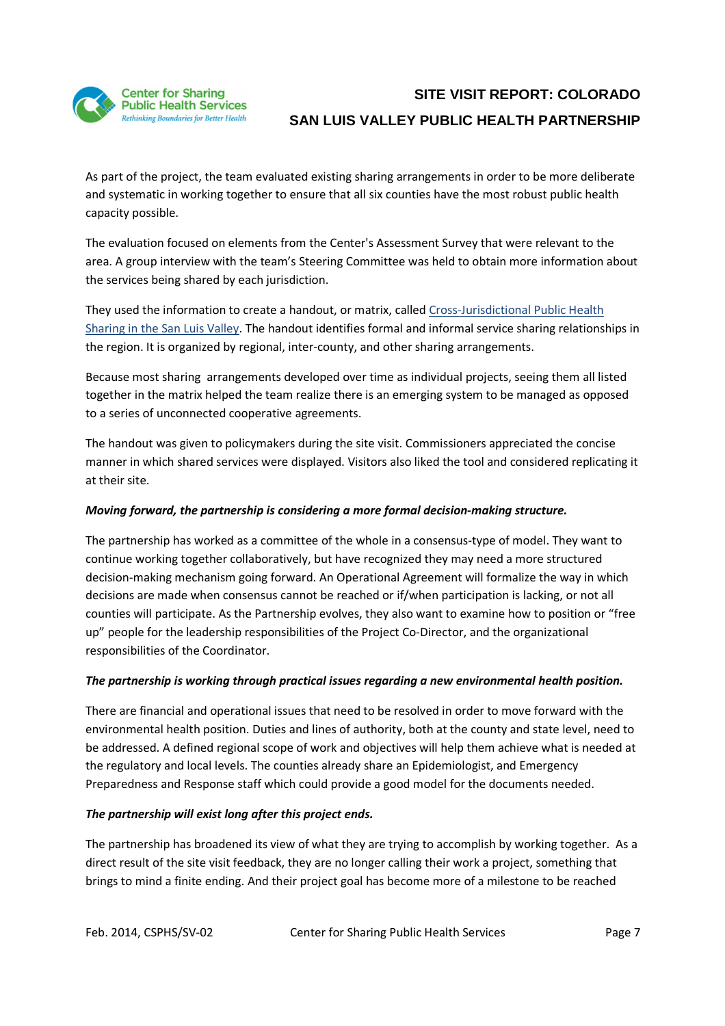

As part of the project, the team evaluated existing sharing arrangements in order to be more deliberate and systematic in working together to ensure that all six counties have the most robust public health capacity possible.

The evaluation focused on elements from the Center's Assessment Survey that were relevant to the area. A group interview with the team's Steering Committee was held to obtain more information about the services being shared by each jurisdiction.

They used the information to create a handout, or matrix, called Cross-Jurisdictional Public Health Sharing in the San Luis Valley. The handout identifies formal and informal service sharing relationships in the region. It is organized by regional, inter-county, and other sharing arrangements.

Because most sharing arrangements developed over time as individual projects, seeing them all listed together in the matrix helped the team realize there is an emerging system to be managed as opposed to a series of unconnected cooperative agreements.

The handout was given to policymakers during the site visit. Commissioners appreciated the concise manner in which shared services were displayed. Visitors also liked the tool and considered replicating it at their site.

### *Moving forward, the partnership is considering a more formal decision-making structure.*

The partnership has worked as a committee of the whole in a consensus-type of model. They want to continue working together collaboratively, but have recognized they may need a more structured decision-making mechanism going forward. An Operational Agreement will formalize the way in which decisions are made when consensus cannot be reached or if/when participation is lacking, or not all counties will participate. As the Partnership evolves, they also want to examine how to position or "free up" people for the leadership responsibilities of the Project Co-Director, and the organizational responsibilities of the Coordinator.

### *The partnership is working through practical issues regarding a new environmental health position.*

There are financial and operational issues that need to be resolved in order to move forward with the environmental health position. Duties and lines of authority, both at the county and state level, need to be addressed. A defined regional scope of work and objectives will help them achieve what is needed at the regulatory and local levels. The counties already share an Epidemiologist, and Emergency Preparedness and Response staff which could provide a good model for the documents needed.

### *The partnership will exist long after this project ends.*

The partnership has broadened its view of what they are trying to accomplish by working together. As a direct result of the site visit feedback, they are no longer calling their work a project, something that brings to mind a finite ending. And their project goal has become more of a milestone to be reached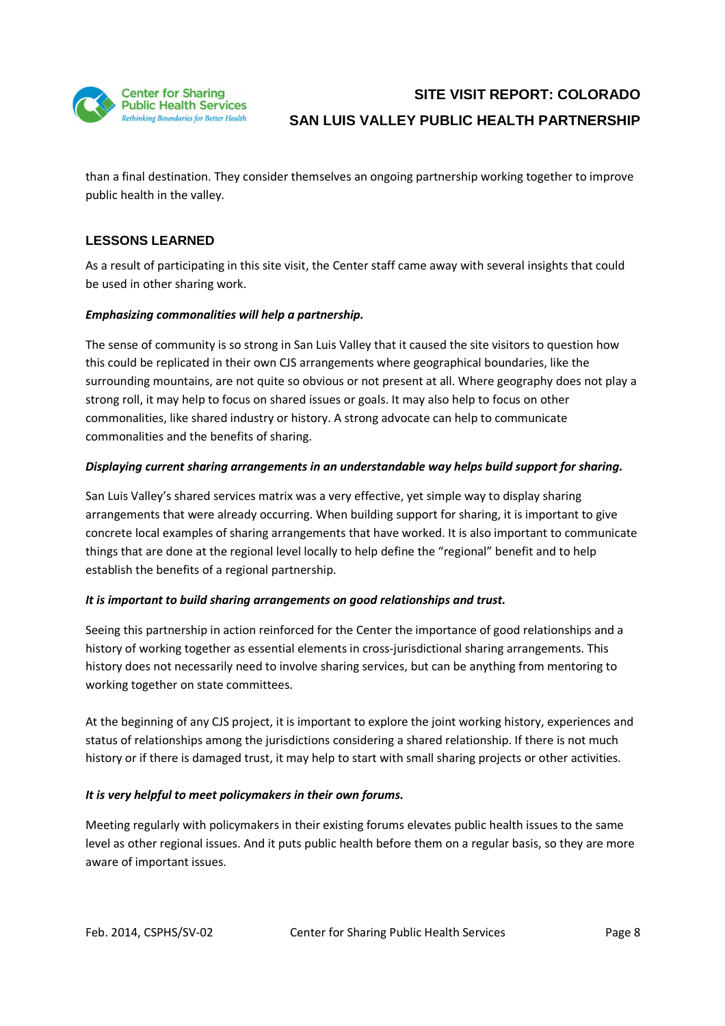

than a final destination. They consider themselves an ongoing partnership working together to improve public health in the valley.

## **LESSONS LEARNED**

As a result of participating in this site visit, the Center staff came away with several insights that could be used in other sharing work.

### *Emphasizing commonalities will help a partnership.*

The sense of community is so strong in San Luis Valley that it caused the site visitors to question how this could be replicated in their own CJS arrangements where geographical boundaries, like the surrounding mountains, are not quite so obvious or not present at all. Where geography does not play a strong roll, it may help to focus on shared issues or goals. It may also help to focus on other commonalities, like shared industry or history. A strong advocate can help to communicate commonalities and the benefits of sharing.

### *Displaying current sharing arrangements in an understandable way helps build support for sharing.*

San Luis Valley's shared services matrix was a very effective, yet simple way to display sharing arrangements that were already occurring. When building support for sharing, it is important to give concrete local examples of sharing arrangements that have worked. It is also important to communicate things that are done at the regional level locally to help define the "regional" benefit and to help establish the benefits of a regional partnership.

#### *It is important to build sharing arrangements on good relationships and trust.*

Seeing this partnership in action reinforced for the Center the importance of good relationships and a history of working together as essential elements in cross-jurisdictional sharing arrangements. This history does not necessarily need to involve sharing services, but can be anything from mentoring to working together on state committees.

At the beginning of any CJS project, it is important to explore the joint working history, experiences and status of relationships among the jurisdictions considering a shared relationship. If there is not much history or if there is damaged trust, it may help to start with small sharing projects or other activities.

#### *It is very helpful to meet policymakers in their own forums.*

Meeting regularly with policymakers in their existing forums elevates public health issues to the same level as other regional issues. And it puts public health before them on a regular basis, so they are more aware of important issues.